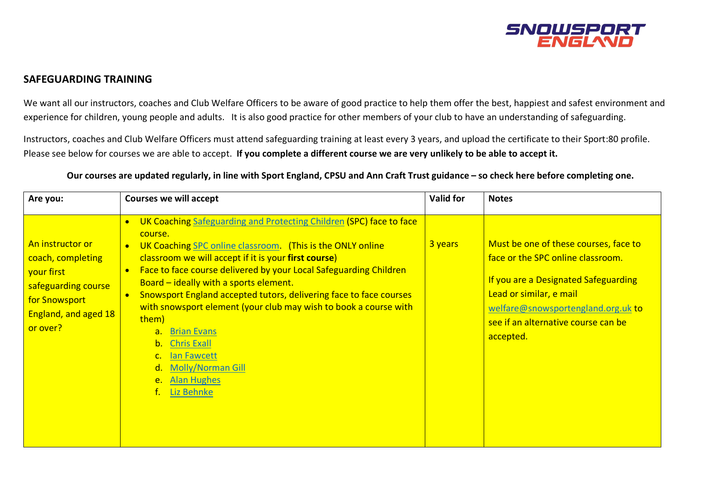

## **SAFEGUARDING TRAINING**

We want all our instructors, coaches and Club Welfare Officers to be aware of good practice to help them offer the best, happiest and safest environment and experience for children, young people and adults. It is also good practice for other members of your club to have an understanding of safeguarding.

Instructors, coaches and Club Welfare Officers must attend safeguarding training at least every 3 years, and upload the certificate to their Sport:80 profile. Please see below for courses we are able to accept. **If you complete a different course we are very unlikely to be able to accept it.** 

**Our courses are updated regularly, in line with Sport England, CPSU and Ann Craft Trust guidance – so check here before completing one.**

| Are you:                                                                                                                        | <b>Courses we will accept</b>                                                                                                                                                                                                                                                                                                                                                                                                                                                                                                                                                                                                                        | <b>Valid for</b> | <b>Notes</b>                                                                                                                                                                                                                            |
|---------------------------------------------------------------------------------------------------------------------------------|------------------------------------------------------------------------------------------------------------------------------------------------------------------------------------------------------------------------------------------------------------------------------------------------------------------------------------------------------------------------------------------------------------------------------------------------------------------------------------------------------------------------------------------------------------------------------------------------------------------------------------------------------|------------------|-----------------------------------------------------------------------------------------------------------------------------------------------------------------------------------------------------------------------------------------|
| An instructor or<br>coach, completing<br>your first<br>safeguarding course<br>for Snowsport<br>England, and aged 18<br>or over? | UK Coaching Safeguarding and Protecting Children (SPC) face to face<br>$\bullet$<br>course.<br>UK Coaching SPC online classroom. (This is the ONLY online<br>classroom we will accept if it is your first course)<br>Face to face course delivered by your Local Safeguarding Children<br>Board - ideally with a sports element.<br>Snowsport England accepted tutors, delivering face to face courses<br>with snowsport element (your club may wish to book a course with<br>them)<br><b>Brian Evans</b><br>$a_{\cdot}$<br><b>Chris Exall</b><br>b.<br>lan Fawcett<br><b>Molly/Norman Gill</b><br>d.<br><b>Alan Hughes</b><br>$e_{1}$<br>Liz Behnke | 3 years          | Must be one of these courses, face to<br>face or the SPC online classroom.<br>If you are a Designated Safeguarding<br>Lead or similar, e mail<br>welfare@snowsportengland.org.uk to<br>see if an alternative course can be<br>accepted. |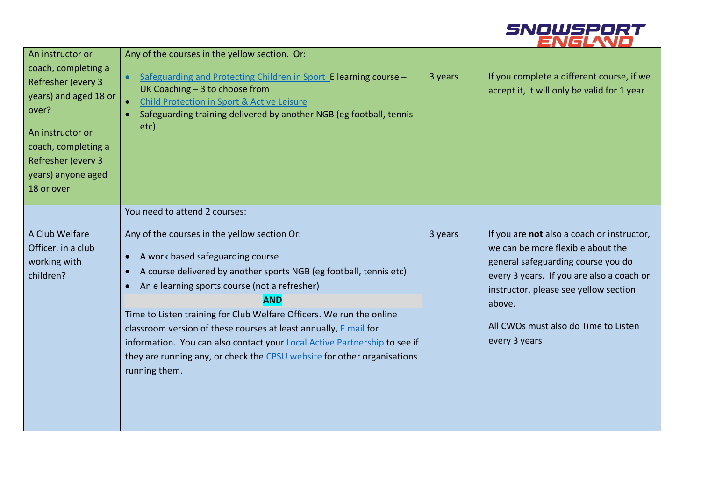

| An instructor or<br>coach, completing a<br>Refresher (every 3<br>years) and aged 18 or<br>over?<br>An instructor or<br>coach, completing a<br>Refresher (every 3<br>years) anyone aged<br>18 or over | Any of the courses in the yellow section. Or:<br>Safeguarding and Protecting Children in Sport E learning course -<br>$\bullet$<br>UK Coaching $-3$ to choose from<br><b>Child Protection in Sport &amp; Active Leisure</b><br>$\bullet$<br>Safeguarding training delivered by another NGB (eg football, tennis<br>etc)                                                                                                                                                                                                                                                                                            | 3 years | If you complete a different course, if we<br>accept it, it will only be valid for 1 year                                                                                                                                                                                       |
|------------------------------------------------------------------------------------------------------------------------------------------------------------------------------------------------------|--------------------------------------------------------------------------------------------------------------------------------------------------------------------------------------------------------------------------------------------------------------------------------------------------------------------------------------------------------------------------------------------------------------------------------------------------------------------------------------------------------------------------------------------------------------------------------------------------------------------|---------|--------------------------------------------------------------------------------------------------------------------------------------------------------------------------------------------------------------------------------------------------------------------------------|
| A Club Welfare<br>Officer, in a club<br>working with<br>children?                                                                                                                                    | You need to attend 2 courses:<br>Any of the courses in the yellow section Or:<br>A work based safeguarding course<br>$\bullet$<br>A course delivered by another sports NGB (eg football, tennis etc)<br>$\bullet$<br>An e learning sports course (not a refresher)<br>$\bullet$<br><b>AND</b><br>Time to Listen training for Club Welfare Officers. We run the online<br>classroom version of these courses at least annually, E mail for<br>information. You can also contact your Local Active Partnership to see if<br>they are running any, or check the CPSU website for other organisations<br>running them. | 3 years | If you are not also a coach or instructor,<br>we can be more flexible about the<br>general safeguarding course you do<br>every 3 years. If you are also a coach or<br>instructor, please see yellow section<br>above.<br>All CWOs must also do Time to Listen<br>every 3 years |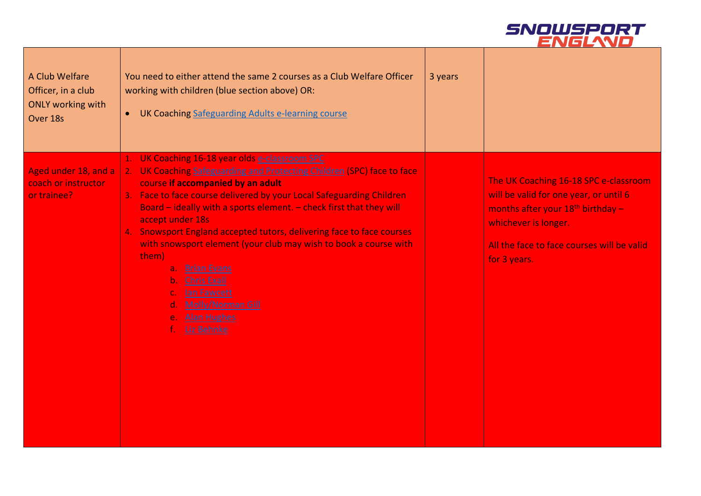

| A Club Welfare<br>Officer, in a club<br><b>ONLY working with</b><br>Over 18s | You need to either attend the same 2 courses as a Club Welfare Officer<br>working with children (blue section above) OR:<br>UK Coaching Safeguarding Adults e-learning course<br>$\bullet$                                                                                                                                                                                                                                                                                                                                                                                                                                               | 3 years |                                                                                                                                                                                                              |
|------------------------------------------------------------------------------|------------------------------------------------------------------------------------------------------------------------------------------------------------------------------------------------------------------------------------------------------------------------------------------------------------------------------------------------------------------------------------------------------------------------------------------------------------------------------------------------------------------------------------------------------------------------------------------------------------------------------------------|---------|--------------------------------------------------------------------------------------------------------------------------------------------------------------------------------------------------------------|
| Aged under 18, and a<br>coach or instructor<br>or trainee?                   | 1. UK Coaching 16-18 year olds e-classroom SPC<br>2. UK Coaching Safeguarding and Protecting Children (SPC) face to face<br>course if accompanied by an adult<br>3. Face to face course delivered by your Local Safeguarding Children<br>Board - ideally with a sports element. - check first that they will<br>accept under 18s<br>4. Snowsport England accepted tutors, delivering face to face courses<br>with snowsport element (your club may wish to book a course with<br>them)<br><b>Brian Evans</b><br>a.<br><b>Chris Exall</b><br>$\mathbf{b}$ .<br>lan Fawcett<br><b>Molly/Norman Gill</b><br>e. Alan Hughes<br>f. Liz Behnke |         | The UK Coaching 16-18 SPC e-classroom<br>will be valid for one year, or until 6<br>months after your $18th$ birthday -<br>whichever is longer.<br>All the face to face courses will be valid<br>for 3 years. |